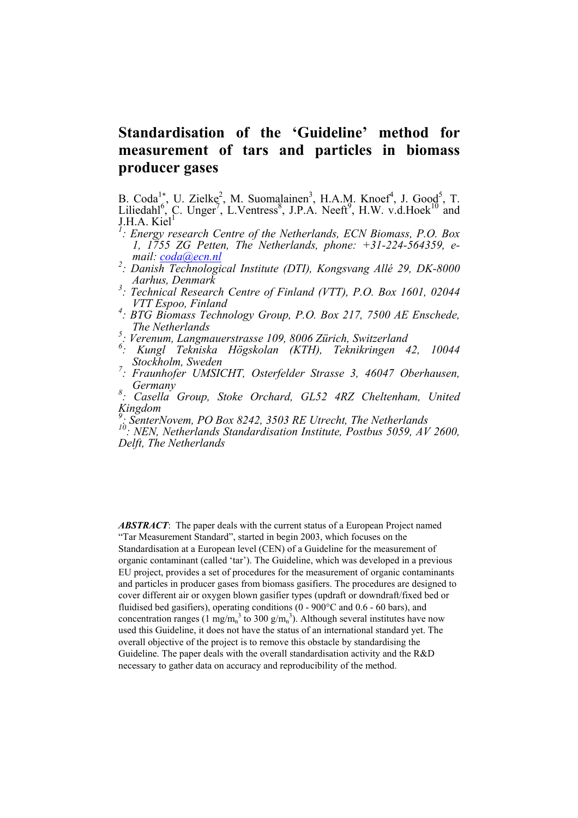# **Standardisation of the 'Guideline' method for measurement of tars and particles in biomass producer gases**

B. Coda<sup>1</sup><sup>\*</sup>, U. Zielke<sup>2</sup>, M. Suomalainen<sup>3</sup>, H.A.M. Knoef<sup>4</sup>, J. Good<sup>5</sup>, T. Liliedahl<sup>6</sup>, C. Unger<sup>7</sup>, L.Ventress<sup>8</sup>, J.P.A. Neeft<sup>9</sup>, H.W. v.d.Hoek<sup>10</sup> and **J.H.A.** Kiel<sup>1</sup>

- *: Energy research Centre of the Netherlands, ECN Biomass, P.O. Box 1, 1755 ZG Petten, The Netherlands, phone: +31-224-564359, email: [coda@ecn.nl](mailto:xxxxx@ecn.nl) <sup>2</sup> : Danish Technological Institute (DTI), Kongsvang Allé 29, DK-8000*
- *Aarhus, Denmark 3 : Technical Research Centre of Finland (VTT), P.O. Box 1601, 02044*
- *VTT Espoo, Finland 4 : BTG Biomass Technology Group, P.O. Box 217, 7500 AE Enschede,*
- *The Netherlands*
- *5 : Verenum, Langmauerstrasse 109, 8006 Zürich, Switzerland*
- *6 : Kungl Tekniska Högskolan (KTH), Teknikringen 42, 10044*
- *Stockholm, Sweden 7 : Fraunhofer UMSICHT, Osterfelder Strasse 3, 46047 Oberhausen, Germany 8 : Casella Group, Stoke Orchard, GL52 4RZ Cheltenham, United*
- *Kingdom*

*9 : SenterNovem, PO Box 8242, 3503 RE Utrecht, The Netherlands* 

*10: NEN, Netherlands Standardisation Institute, Postbus 5059, AV 2600, Delft, The Netherlands* 

*ABSTRACT*: The paper deals with the current status of a European Project named "Tar Measurement Standard", started in begin 2003, which focuses on the Standardisation at a European level (CEN) of a Guideline for the measurement of organic contaminant (called 'tar'). The Guideline, which was developed in a previous EU project, provides a set of procedures for the measurement of organic contaminants and particles in producer gases from biomass gasifiers. The procedures are designed to cover different air or oxygen blown gasifier types (updraft or downdraft/fixed bed or fluidised bed gasifiers), operating conditions  $(0 - 900^{\circ}$ C and  $0.6 - 60$  bars), and concentration ranges (1 mg/m<sub>n</sub><sup>3</sup> to 300 g/m<sub>n</sub><sup>3</sup>). Although several institutes have now used this Guideline, it does not have the status of an international standard yet. The overall objective of the project is to remove this obstacle by standardising the Guideline. The paper deals with the overall standardisation activity and the R&D necessary to gather data on accuracy and reproducibility of the method.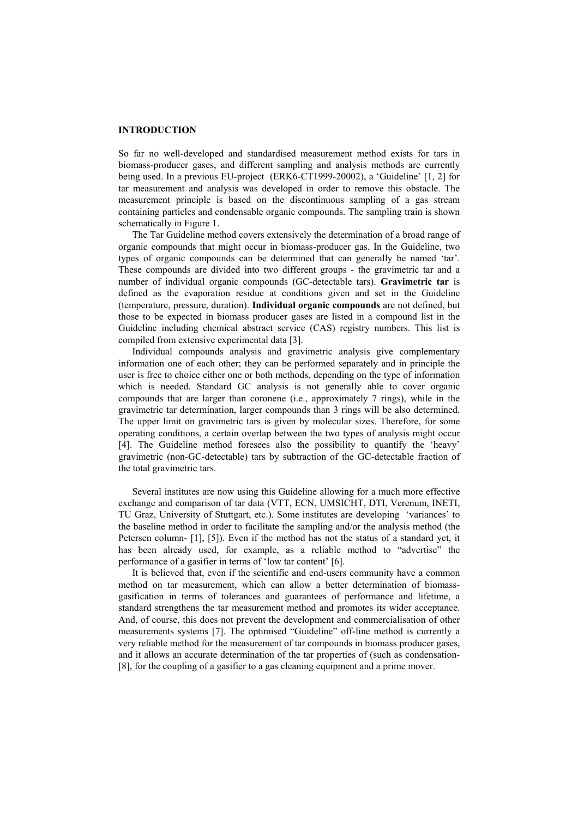#### **INTRODUCTION**

So far no well-developed and standardised measurement method exists for tars in biomass-producer gases, and different sampling and analysis methods are currently being used. In a previous EU-project (ERK6-CT1999-20002), a 'Guideline' [1, 2] for tar measurement and analysis was developed in order to remove this obstacle. The measurement principle is based on the discontinuous sampling of a gas stream containing particles and condensable organic compounds. The sampling train is shown schematically in Figure 1.

The Tar Guideline method covers extensively the determination of a broad range of organic compounds that might occur in biomass-producer gas. In the Guideline, two types of organic compounds can be determined that can generally be named 'tar'. These compounds are divided into two different groups - the gravimetric tar and a number of individual organic compounds (GC-detectable tars). **Gravimetric tar** is defined as the evaporation residue at conditions given and set in the Guideline (temperature, pressure, duration). **Individual organic compounds** are not defined, but those to be expected in biomass producer gases are listed in a compound list in the Guideline including chemical abstract service (CAS) registry numbers. This list is compiled from extensive experimental data [3].

Individual compounds analysis and gravimetric analysis give complementary information one of each other; they can be performed separately and in principle the user is free to choice either one or both methods, depending on the type of information which is needed. Standard GC analysis is not generally able to cover organic compounds that are larger than coronene (i.e., approximately 7 rings), while in the gravimetric tar determination, larger compounds than 3 rings will be also determined. The upper limit on gravimetric tars is given by molecular sizes. Therefore, for some operating conditions, a certain overlap between the two types of analysis might occur [4]. The Guideline method foresees also the possibility to quantify the 'heavy' gravimetric (non-GC-detectable) tars by subtraction of the GC-detectable fraction of the total gravimetric tars.

Several institutes are now using this Guideline allowing for a much more effective exchange and comparison of tar data (VTT, ECN, UMSICHT, DTI, Verenum, INETI, TU Graz, University of Stuttgart, etc.). Some institutes are developing 'variances' to the baseline method in order to facilitate the sampling and/or the analysis method (the Petersen column- [1], [5]). Even if the method has not the status of a standard yet, it has been already used, for example, as a reliable method to "advertise" the performance of a gasifier in terms of 'low tar content' [6].

It is believed that, even if the scientific and end-users community have a common method on tar measurement, which can allow a better determination of biomassgasification in terms of tolerances and guarantees of performance and lifetime, a standard strengthens the tar measurement method and promotes its wider acceptance. And, of course, this does not prevent the development and commercialisation of other measurements systems [7]. The optimised "Guideline" off-line method is currently a very reliable method for the measurement of tar compounds in biomass producer gases, and it allows an accurate determination of the tar properties of (such as condensation- [8], for the coupling of a gasifier to a gas cleaning equipment and a prime mover.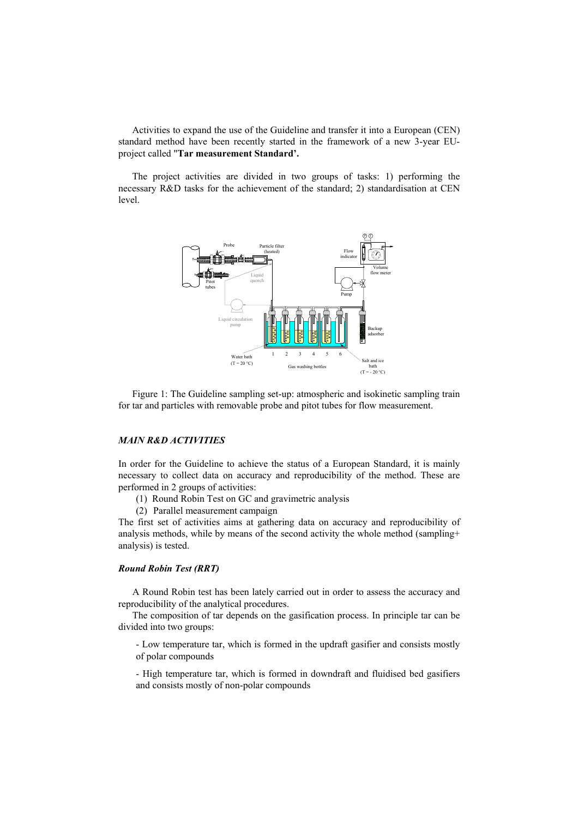Activities to expand the use of the Guideline and transfer it into a European (CEN) standard method have been recently started in the framework of a new 3-year EUproject called "**Tar measurement Standard'.** 

The project activities are divided in two groups of tasks: 1) performing the necessary R&D tasks for the achievement of the standard; 2) standardisation at CEN level.



Figure 1: The Guideline sampling set-up: atmospheric and isokinetic sampling train for tar and particles with removable probe and pitot tubes for flow measurement.

# *MAIN R&D ACTIVITIES*

In order for the Guideline to achieve the status of a European Standard, it is mainly necessary to collect data on accuracy and reproducibility of the method. These are performed in 2 groups of activities:

- (1) Round Robin Test on GC and gravimetric analysis
- (2) Parallel measurement campaign

The first set of activities aims at gathering data on accuracy and reproducibility of analysis methods, while by means of the second activity the whole method (sampling+ analysis) is tested.

## *Round Robin Test (RRT)*

A Round Robin test has been lately carried out in order to assess the accuracy and reproducibility of the analytical procedures.

The composition of tar depends on the gasification process. In principle tar can be divided into two groups:

- Low temperature tar, which is formed in the updraft gasifier and consists mostly of polar compounds

- High temperature tar, which is formed in downdraft and fluidised bed gasifiers and consists mostly of non-polar compounds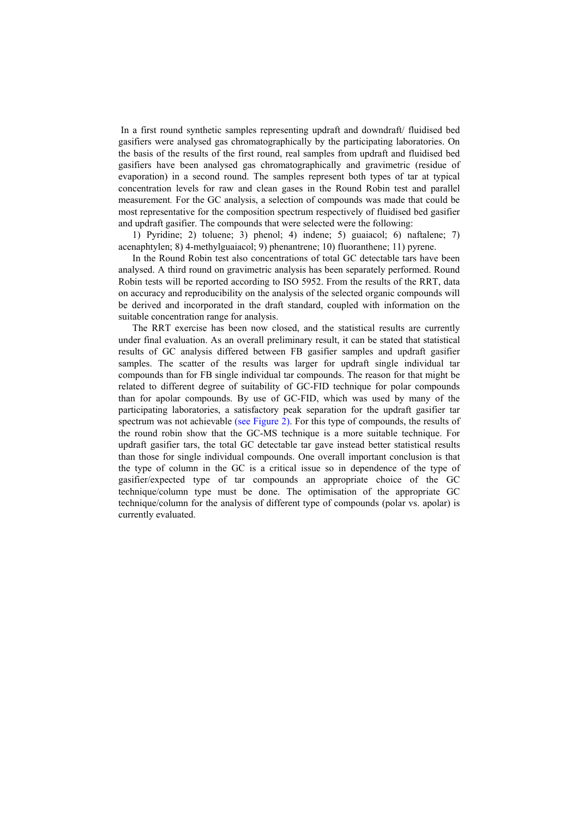In a first round synthetic samples representing updraft and downdraft/ fluidised bed gasifiers were analysed gas chromatographically by the participating laboratories. On the basis of the results of the first round, real samples from updraft and fluidised bed gasifiers have been analysed gas chromatographically and gravimetric (residue of evaporation) in a second round. The samples represent both types of tar at typical concentration levels for raw and clean gases in the Round Robin test and parallel measurement*.* For the GC analysis, a selection of compounds was made that could be most representative for the composition spectrum respectively of fluidised bed gasifier and updraft gasifier. The compounds that were selected were the following:

1) Pyridine; 2) toluene; 3) phenol; 4) indene; 5) guaiacol; 6) naftalene; 7) acenaphtylen; 8) 4-methylguaiacol; 9) phenantrene; 10) fluoranthene; 11) pyrene.

In the Round Robin test also concentrations of total GC detectable tars have been analysed. A third round on gravimetric analysis has been separately performed. Round Robin tests will be reported according to ISO 5952. From the results of the RRT, data on accuracy and reproducibility on the analysis of the selected organic compounds will be derived and incorporated in the draft standard, coupled with information on the suitable concentration range for analysis.

The RRT exercise has been now closed, and the statistical results are currently under final evaluation. As an overall preliminary result, it can be stated that statistical results of GC analysis differed between FB gasifier samples and updraft gasifier samples. The scatter of the results was larger for updraft single individual tar compounds than for FB single individual tar compounds. The reason for that might be related to different degree of suitability of GC-FID technique for polar compounds than for apolar compounds. By use of GC-FID, which was used by many of the participating laboratories, a satisfactory peak separation for the updraft gasifier tar spectrum was not achievable (see Figure 2). For this type of compounds, the results of the round robin show that the GC-MS technique is a more suitable technique. For updraft gasifier tars, the total GC detectable tar gave instead better statistical results than those for single individual compounds. One overall important conclusion is that the type of column in the GC is a critical issue so in dependence of the type of gasifier/expected type of tar compounds an appropriate choice of the GC technique/column type must be done. The optimisation of the appropriate GC technique/column for the analysis of different type of compounds (polar vs. apolar) is currently evaluated.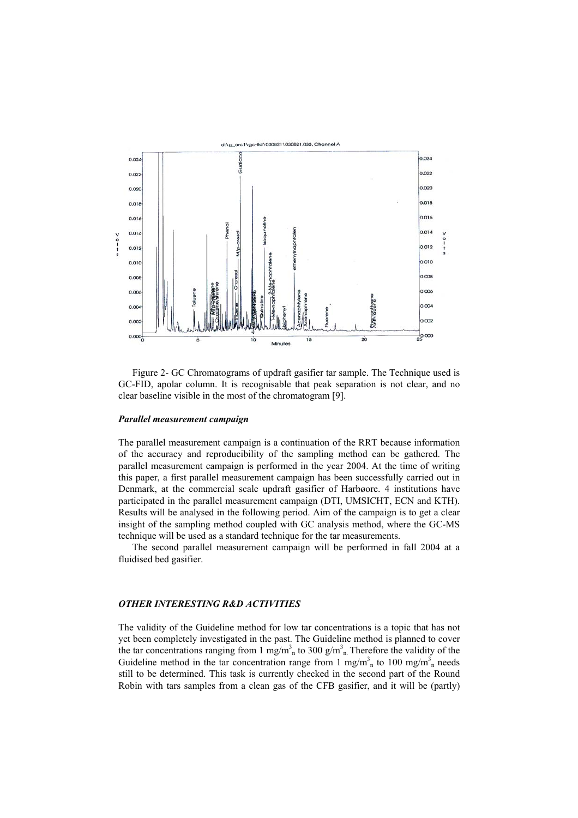

Figure 2- GC Chromatograms of updraft gasifier tar sample. The Technique used is GC-FID, apolar column. It is recognisable that peak separation is not clear, and no clear baseline visible in the most of the chromatogram [9].

#### *Parallel measurement campaign*

The parallel measurement campaign is a continuation of the RRT because information of the accuracy and reproducibility of the sampling method can be gathered. The parallel measurement campaign is performed in the year 2004. At the time of writing this paper, a first parallel measurement campaign has been successfully carried out in Denmark, at the commercial scale updraft gasifier of Harbøore. 4 institutions have participated in the parallel measurement campaign (DTI, UMSICHT, ECN and KTH). Results will be analysed in the following period. Aim of the campaign is to get a clear insight of the sampling method coupled with GC analysis method, where the GC-MS technique will be used as a standard technique for the tar measurements.

The second parallel measurement campaign will be performed in fall 2004 at a fluidised bed gasifier.

### *OTHER INTERESTING R&D ACTIVITIES*

The validity of the Guideline method for low tar concentrations is a topic that has not yet been completely investigated in the past. The Guideline method is planned to cover the tar concentrations ranging from 1 mg/m<sup>3</sup><sub>n</sub> to 300 g/m<sup>3</sup><sub>n</sub>. Therefore the validity of the Guideline method in the tar concentration range from 1 mg/m<sup>3</sup><sub>n</sub> to 100 mg/m<sup>3</sup><sub>n</sub> needs still to be determined. This task is currently checked in the second part of the Round Robin with tars samples from a clean gas of the CFB gasifier, and it will be (partly)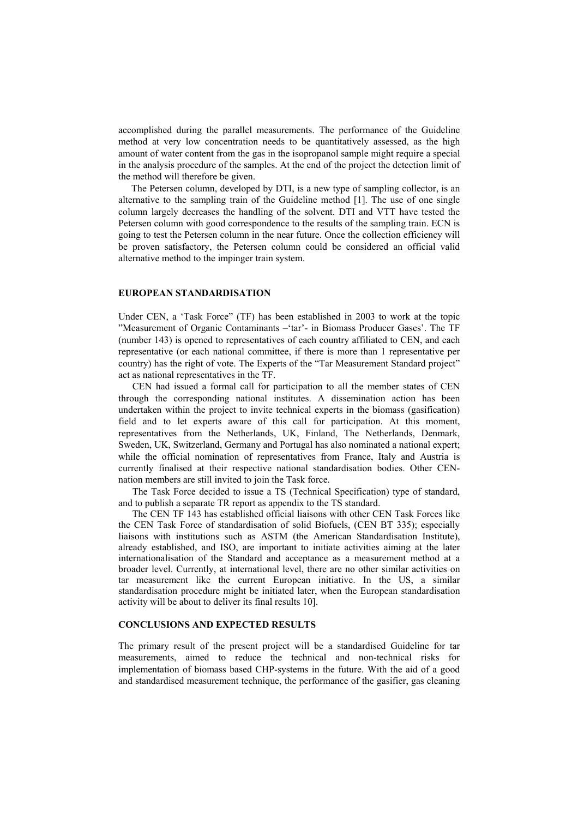accomplished during the parallel measurements. The performance of the Guideline method at very low concentration needs to be quantitatively assessed, as the high amount of water content from the gas in the isopropanol sample might require a special in the analysis procedure of the samples. At the end of the project the detection limit of the method will therefore be given.

The Petersen column, developed by DTI, is a new type of sampling collector, is an alternative to the sampling train of the Guideline method [1]. The use of one single column largely decreases the handling of the solvent. DTI and VTT have tested the Petersen column with good correspondence to the results of the sampling train. ECN is going to test the Petersen column in the near future. Once the collection efficiency will be proven satisfactory, the Petersen column could be considered an official valid alternative method to the impinger train system.

## **EUROPEAN STANDARDISATION**

Under CEN, a 'Task Force" (TF) has been established in 2003 to work at the topic "Measurement of Organic Contaminants –'tar'- in Biomass Producer Gases'. The TF (number 143) is opened to representatives of each country affiliated to CEN, and each representative (or each national committee, if there is more than 1 representative per country) has the right of vote. The Experts of the "Tar Measurement Standard project" act as national representatives in the TF.

CEN had issued a formal call for participation to all the member states of CEN through the corresponding national institutes. A dissemination action has been undertaken within the project to invite technical experts in the biomass (gasification) field and to let experts aware of this call for participation. At this moment, representatives from the Netherlands, UK, Finland, The Netherlands, Denmark, Sweden, UK, Switzerland, Germany and Portugal has also nominated a national expert; while the official nomination of representatives from France, Italy and Austria is currently finalised at their respective national standardisation bodies. Other CENnation members are still invited to join the Task force.

The Task Force decided to issue a TS (Technical Specification) type of standard, and to publish a separate TR report as appendix to the TS standard.

The CEN TF 143 has established official liaisons with other CEN Task Forces like the CEN Task Force of standardisation of solid Biofuels, (CEN BT 335); especially liaisons with institutions such as ASTM (the American Standardisation Institute), already established, and ISO, are important to initiate activities aiming at the later internationalisation of the Standard and acceptance as a measurement method at a broader level. Currently, at international level, there are no other similar activities on tar measurement like the current European initiative. In the US, a similar standardisation procedure might be initiated later, when the European standardisation activity will be about to deliver its final results 10].

### **CONCLUSIONS AND EXPECTED RESULTS**

The primary result of the present project will be a standardised Guideline for tar measurements, aimed to reduce the technical and non-technical risks for implementation of biomass based CHP-systems in the future. With the aid of a good and standardised measurement technique, the performance of the gasifier, gas cleaning